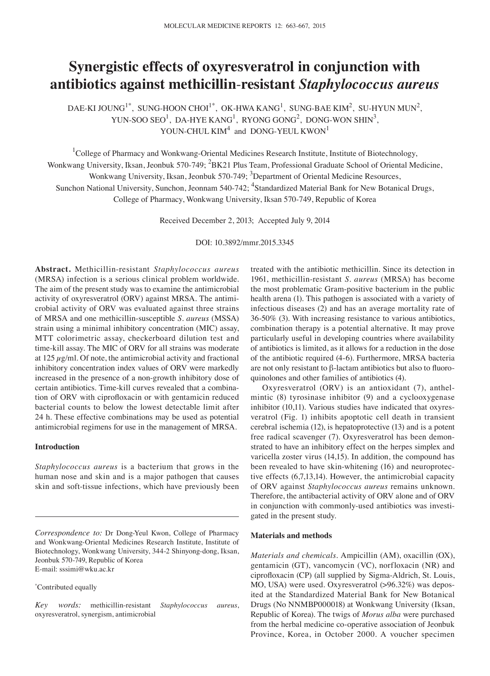# **Synergistic effects of oxyresveratrol in conjunction with antibiotics against methicillin**-**resistant** *Staphylococcus aureus*

DAE-KI JOUNG<sup>1\*</sup>, SUNG-HOON CHOI<sup>1\*</sup>, OK-HWA KANG<sup>1</sup>, SUNG-BAE KIM<sup>2</sup>, SU-HYUN MUN<sup>2</sup>, YUN-SOO SEO $^1$ , DA-HYE KANG $^1$ , RYONG GONG $^2$ , DONG-WON SHIN $^3$ , YOUN-CHUL  $KIM<sup>4</sup>$  and DONG-YEUL  $KWON<sup>1</sup>$ 

<sup>1</sup>College of Pharmacy and Wonkwang-Oriental Medicines Research Institute, Institute of Biotechnology, Wonkwang University, Iksan, Jeonbuk 570-749; <sup>2</sup>BK21 Plus Team, Professional Graduate School of Oriental Medicine, Wonkwang University, Iksan, Jeonbuk 570-749; <sup>3</sup>Department of Oriental Medicine Resources, Sunchon National University, Sunchon, Jeonnam 540-742; <sup>4</sup>Standardized Material Bank for New Botanical Drugs, College of Pharmacy, Wonkwang University, Iksan 570-749, Republic of Korea

Received December 2, 2013; Accepted July 9, 2014

DOI: 10.3892/mmr.2015.3345

**Abstract.** Methicillin-resistant *Staphylococcus aureus* (MRSA) infection is a serious clinical problem worldwide. The aim of the present study was to examine the antimicrobial activity of oxyresveratrol (ORV) against MRSA. The antimicrobial activity of ORV was evaluated against three strains of MRSA and one methicillin-susceptible *S. aureus* (MSSA) strain using a minimal inhibitory concentration (MIC) assay, MTT colorimetric assay, checkerboard dilution test and time-kill assay. The MIC of ORV for all strains was moderate at  $125 \mu g/ml$ . Of note, the antimicrobial activity and fractional inhibitory concentration index values of ORV were markedly increased in the presence of a non-growth inhibitory dose of certain antibiotics. Time-kill curves revealed that a combination of ORV with ciprofloxacin or with gentamicin reduced bacterial counts to below the lowest detectable limit after 24 h. These effective combinations may be used as potential antimicrobial regimens for use in the management of MRSA.

### **Introduction**

*Staphylococcus aureus* is a bacterium that grows in the human nose and skin and is a major pathogen that causes skin and soft-tissue infections, which have previously been

\* Contributed equally

treated with the antibiotic methicillin. Since its detection in 1961, methicillin-resistant *S. aureus* (MRSA) has become the most problematic Gram-positive bacterium in the public health arena (1). This pathogen is associated with a variety of infectious diseases (2) and has an average mortality rate of 36-50% (3). With increasing resistance to various antibiotics, combination therapy is a potential alternative. It may prove particularly useful in developing countries where availability of antibiotics is limited, as it allows for a reduction in the dose of the antibiotic required (4-6). Furthermore, MRSA bacteria are not only resistant to β-lactam antibiotics but also to fluoroquinolones and other families of antibiotics (4).

Oxyresveratrol (ORV) is an antioxidant (7), anthelmintic (8) tyrosinase inhibitor (9) and a cyclooxygenase inhibitor (10,11). Various studies have indicated that oxyresveratrol (Fig. 1) inhibits apoptotic cell death in transient cerebral ischemia (12), is hepatoprotective (13) and is a potent free radical scavenger (7). Oxyresveratrol has been demonstrated to have an inhibitory effect on the herpes simplex and varicella zoster virus (14,15). In addition, the compound has been revealed to have skin-whitening (16) and neuroprotective effects (6,7,13,14). However, the antimicrobial capacity of ORV against *Staphylococcus aureus* remains unknown. Therefore, the antibacterial activity of ORV alone and of ORV in conjunction with commonly-used antibiotics was investigated in the present study.

## **Materials and methods**

*Materials and chemicals.* Ampicillin (AM), oxacillin (OX), gentamicin (GT), vancomycin (VC), norfloxacin (NR) and ciprofloxacin (CP) (all supplied by Sigma‑Aldrich, St. Louis, MO, USA) were used. Oxyresveratrol (>96.32%) was deposited at the Standardized Material Bank for New Botanical Drugs (No NNMBP000018) at Wonkwang University (Iksan, Republic of Korea). The twigs of *Morus alba* were purchased from the herbal medicine co-operative association of Jeonbuk Province, Korea, in October 2000. A voucher specimen

*Correspondence to:* Dr Dong-Yeul Kwon, College of Pharmacy and Wonkwang-Oriental Medicines Research Institute, Institute of Biotechnology, Wonkwang University, 344-2 Shinyong-dong, Iksan, Jeonbuk 570-749, Republic of Korea E-mail: sssimi@wku.ac.kr

*Key words:* methicillin-resistant *Staphylococcus aureus*, oxyresveratrol, synergism, antimicrobial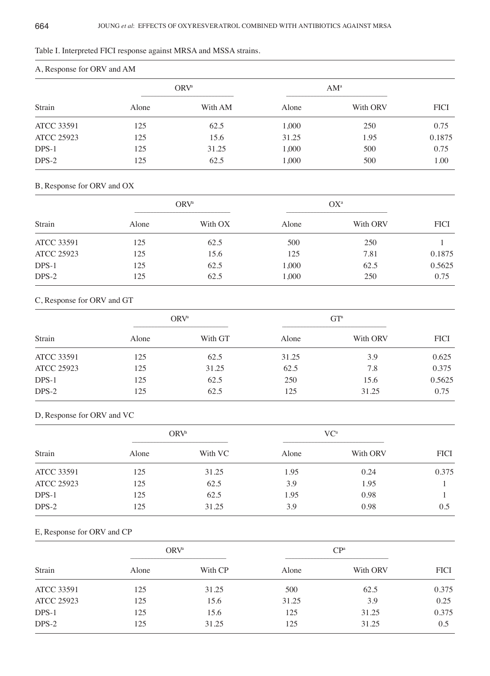| Table I. Interpreted FICI response against MRSA and MSSA strains. |  |
|-------------------------------------------------------------------|--|
|-------------------------------------------------------------------|--|

| A, RESPOSSE TOL UNV all AIVE |                  |         |        |          |             |  |
|------------------------------|------------------|---------|--------|----------|-------------|--|
| Strain                       | ORV <sup>a</sup> |         | $AM^a$ |          |             |  |
|                              | Alone            | With AM | Alone  | With ORV | <b>FICI</b> |  |
| <b>ATCC 33591</b>            | 125              | 62.5    | 1,000  | 250      | 0.75        |  |
| <b>ATCC 25923</b>            | 125              | 15.6    | 31.25  | 1.95     | 0.1875      |  |
| $DPS-1$                      | 125              | 31.25   | 1,000  | 500      | 0.75        |  |
| $DPS-2$                      | 125              | 62.5    | 1,000  | 500      | 1.00        |  |

# A, Response for ORV and AM

# B, Response for ORV and OX

| Strain            | ORV <sup>a</sup> |         | $OX^a$ |          |             |
|-------------------|------------------|---------|--------|----------|-------------|
|                   | Alone            | With OX | Alone  | With ORV | <b>FICI</b> |
| <b>ATCC 33591</b> | 125              | 62.5    | 500    | 250      |             |
| <b>ATCC 25923</b> | 125              | 15.6    | 125    | 7.81     | 0.1875      |
| DPS-1             | 125              | 62.5    | 1,000  | 62.5     | 0.5625      |
| $DPS-2$           | 125              | 62.5    | 1,000  | 250      | 0.75        |

# C, Response for ORV and GT

| Strain            | ORV <sup>a</sup> |         | GT <sup>a</sup> |          |             |
|-------------------|------------------|---------|-----------------|----------|-------------|
|                   | Alone            | With GT | Alone           | With ORV | <b>FICI</b> |
| <b>ATCC 33591</b> | 125              | 62.5    | 31.25           | 3.9      | 0.625       |
| <b>ATCC 25923</b> | 125              | 31.25   | 62.5            | 7.8      | 0.375       |
| DPS-1             | 125              | 62.5    | 250             | 15.6     | 0.5625      |
| $DPS-2$           | 125              | 62.5    | 125             | 31.25    | 0.75        |

# D, Response for ORV and VC

| Strain            | ORV <sup>a</sup> |         | $VC^{\alpha}$ |          |             |
|-------------------|------------------|---------|---------------|----------|-------------|
|                   | Alone            | With VC | Alone         | With ORV | <b>FICI</b> |
| <b>ATCC 33591</b> | 125              | 31.25   | 1.95          | 0.24     | 0.375       |
| <b>ATCC 25923</b> | 125              | 62.5    | 3.9           | 1.95     |             |
| DPS-1             | 125              | 62.5    | 1.95          | 0.98     |             |
| DPS-2             | 125              | 31.25   | 3.9           | 0.98     | 0.5         |

# E, Response for ORV and CP

| Strain            | ORV <sup>a</sup> |         | CP <sup>a</sup> |          |             |
|-------------------|------------------|---------|-----------------|----------|-------------|
|                   | Alone            | With CP | Alone           | With ORV | <b>FICI</b> |
| <b>ATCC 33591</b> | 125              | 31.25   | 500             | 62.5     | 0.375       |
| <b>ATCC 25923</b> | 125              | 15.6    | 31.25           | 3.9      | 0.25        |
| DPS-1             | 125              | 15.6    | 125             | 31.25    | 0.375       |
| $DPS-2$           | 125              | 31.25   | 125             | 31.25    | 0.5         |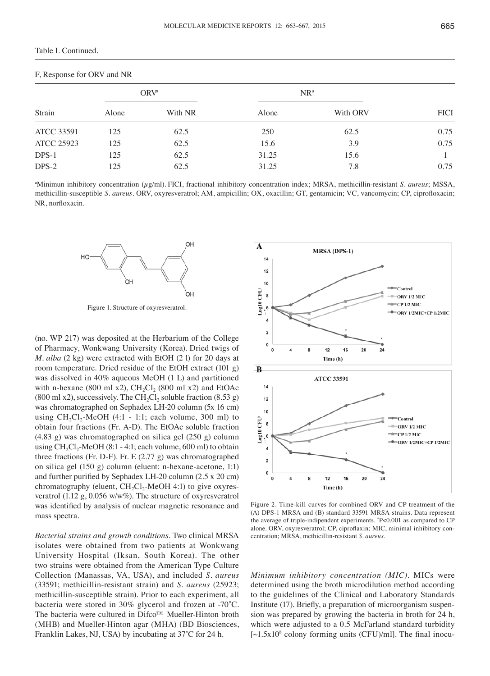| F, Response for ORV and NR |                  |         |        |          |             |  |  |
|----------------------------|------------------|---------|--------|----------|-------------|--|--|
| Strain                     | ORV <sup>a</sup> |         | $NR^a$ |          |             |  |  |
|                            | Alone            | With NR | Alone  | With ORV | <b>FICI</b> |  |  |
| <b>ATCC 33591</b>          | 125              | 62.5    | 250    | 62.5     | 0.75        |  |  |
| <b>ATCC 25923</b>          | 125              | 62.5    | 15.6   | 3.9      | 0.75        |  |  |
| DPS-1                      | 125              | 62.5    | 31.25  | 15.6     |             |  |  |
| $DPS-2$                    | 125              | 62.5    | 31.25  | 7.8      | 0.75        |  |  |

a Minimun inhibitory concentration (µg/ml). FICI, fractional inhibitory concentration index; MRSA, methicillin-resistant *S. aureus*; MSSA, methicillin-susceptible *S. aureus*. ORV, oxyresveratrol; AM, ampicillin; OX, oxacillin; GT, gentamicin; VC, vancomycin; CP, ciprofloxacin; NR, norfloxacin.



Figure 1. Structure of oxyresveratrol.

(no. WP 217) was deposited at the Herbarium of the College of Pharmacy, Wonkwang University (Korea). Dried twigs of *M. alba* (2 kg) were extracted with EtOH (2 l) for 20 days at room temperature. Dried residue of the EtOH extract (101 g) was dissolved in 40% aqueous MeOH (1 L) and partitioned with n-hexane (800 ml x2), CH<sub>2</sub>Cl<sub>2</sub> (800 ml x2) and EtOAc (800 ml x2), successively. The CH<sub>2</sub>Cl<sub>2</sub> soluble fraction  $(8.53 \text{ g})$ was chromatographed on Sephadex LH-20 column (5x 16 cm) using  $CH_2Cl_2$ -MeOH (4:1 - 1:1; each volume, 300 ml) to obtain four fractions (Fr. A-D). The EtOAc soluble fraction (4.83 g) was chromatographed on silica gel (250 g) column using  $CH_2Cl_2$ -MeOH (8:1 - 4:1; each volume, 600 ml) to obtain three fractions (Fr. D-F). Fr. E (2.77 g) was chromatographed on silica gel (150 g) column (eluent: n-hexane-acetone, 1:1) and further purified by Sephadex LH‑20 column (2.5 x 20 cm) chromatography (eluent,  $CH_2Cl_2$ -MeOH 4:1) to give oxyresveratrol (1.12 g, 0.056 w/w%). The structure of oxyresveratrol was identified by analysis of nuclear magnetic resonance and mass spectra.

*Bacterial strains and growth conditions.* Two clinical MRSA isolates were obtained from two patients at Wonkwang University Hospital (Iksan, South Korea). The other two strains were obtained from the American Type Culture Collection (Manassas, VA, USA), and included *S. aureus* (33591; methicillin-resistant strain) and *S. aureus* (25923; methicillin-susceptible strain). Prior to each experiment, all bacteria were stored in 30% glycerol and frozen at -70˚C. The bacteria were cultured in Difco™ Mueller-Hinton broth (MHB) and Mueller-Hinton agar (MHA) (BD Biosciences, Franklin Lakes, NJ, USA) by incubating at 37˚C for 24 h.



Figure 2. Time-kill curves for combined ORV and CP treatment of the (A) DPS-1 MRSA and (B) standard 33591 MRSA strains. Data represent the average of triple-indipendent experiments. \* P<0.001 as compared to CP alone. ORV, oxyresveratrol; CP, ciproflaxin; MIC, minimal inhibitory concentration; MRSA, methicillin-resistant *S. aureus*.

*Minimum inhibitory concentration (MIC).* MICs were determined using the broth microdilution method according to the guidelines of the Clinical and Laboratory Standards Institute (17). Briefly, a preparation of microorganism suspension was prepared by growing the bacteria in broth for 24 h, which were adjusted to a 0.5 McFarland standard turbidity  $\sim$  1.5x10<sup>8</sup> colony forming units (CFU)/ml]. The final inocu-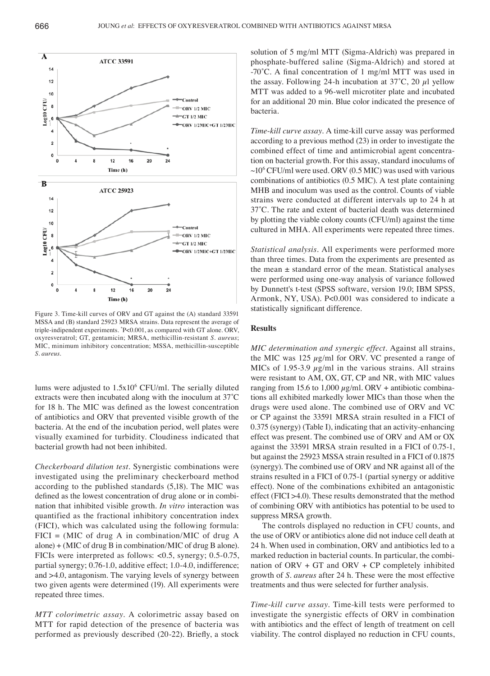

Figure 3. Time-kill curves of ORV and GT against the (A) standard 33591 MSSA and (B) standard 25923 MRSA strains. Data represent the average of triple-indipendent experiments. \* P<0.001, as compared with GT alone. ORV, oxyresveratrol; GT, gentamicin; MRSA, methicillin-resistant *S. aureus*; MIC, minimum inhibitory concentration; MSSA, methicillin-susceptible *S. aureus*.

lums were adjusted to 1.5x106 CFU/ml. The serially diluted extracts were then incubated along with the inoculum at 37˚C for 18 h. The MIC was defined as the lowest concentration of antibiotics and ORV that prevented visible growth of the bacteria. At the end of the incubation period, well plates were visually examined for turbidity. Cloudiness indicated that bacterial growth had not been inhibited.

*Checkerboard dilution test.* Synergistic combinations were investigated using the preliminary checkerboard method according to the published standards (5,18). The MIC was defined as the lowest concentration of drug alone or in combination that inhibited visible growth. *In vitro* interaction was quantified as the fractional inhibitory concentration index (FICI), which was calculated using the following formula:  $FICI = (MIC of drug A in combination/MIC of drug A)$ alone) + (MIC of drug B in combination/MIC of drug B alone). FICIs were interpreted as follows: <0.5, synergy; 0.5-0.75, partial synergy; 0.76-1.0, additive effect; 1.0-4.0, indifference; and >4.0, antagonism. The varying levels of synergy between two given agents were determined (19). All experiments were repeated three times.

*MTT colorimetric assay.* A colorimetric assay based on MTT for rapid detection of the presence of bacteria was performed as previously described (20-22). Briefly, a stock solution of 5 mg/ml MTT (Sigma-Aldrich) was prepared in phosphate-buffered saline (Sigma-Aldrich) and stored at ‑70˚C. A final concentration of 1 mg/ml MTT was used in the assay. Following 24-h incubation at  $37^{\circ}$ C, 20  $\mu$ l yellow MTT was added to a 96-well microtiter plate and incubated for an additional 20 min. Blue color indicated the presence of bacteria.

*Time*-*kill curve assay.* A time-kill curve assay was performed according to a previous method (23) in order to investigate the combined effect of time and antimicrobial agent concentration on bacterial growth. For this assay, standard inoculums of  $\sim$ 10<sup>6</sup> CFU/ml were used. ORV (0.5 MIC) was used with various combinations of antibiotics (0.5 MIC). A test plate containing MHB and inoculum was used as the control. Counts of viable strains were conducted at different intervals up to 24 h at 37˚C. The rate and extent of bacterial death was determined by plotting the viable colony counts (CFU/ml) against the time cultured in MHA. All experiments were repeated three times.

*Statistical analysis.* All experiments were performed more than three times. Data from the experiments are presented as the mean ± standard error of the mean. Statistical analyses were performed using one-way analysis of variance followed by Dunnett's t-test (SPSS software, version 19.0; IBM SPSS, Armonk, NY, USA). P<0.001 was considered to indicate a statistically significant difference.

#### **Results**

*MIC determination and synergic effect.* Against all strains, the MIC was 125  $\mu$ g/ml for ORV. VC presented a range of MICs of 1.95-3.9  $\mu$ g/ml in the various strains. All strains were resistant to AM, OX, GT, CP and NR, with MIC values ranging from 15.6 to 1,000  $\mu$ g/ml. ORV + antibiotic combinations all exhibited markedly lower MICs than those when the drugs were used alone. The combined use of ORV and VC or CP against the 33591 MRSA strain resulted in a FICI of 0.375 (synergy) (Table I), indicating that an activity-enhancing effect was present. The combined use of ORV and AM or OX against the 33591 MRSA strain resulted in a FICI of 0.75-1, but against the 25923 MSSA strain resulted in a FICI of 0.1875 (synergy). The combined use of ORV and NR against all of the strains resulted in a FICI of 0.75-1 (partial synergy or additive effect). None of the combinations exhibited an antagonistic effect (FICI >4.0). These results demonstrated that the method of combining ORV with antibiotics has potential to be used to suppress MRSA growth.

The controls displayed no reduction in CFU counts, and the use of ORV or antibiotics alone did not induce cell death at 24 h. When used in combination, ORV and antibiotics led to a marked reduction in bacterial counts. In particular, the combination of ORV + GT and ORV + CP completely inhibited growth of *S. aureus* after 24 h. These were the most effective treatments and thus were selected for further analysis.

*Time*-*kill curve assay.* Time-kill tests were performed to investigate the synergistic effects of ORV in combination with antibiotics and the effect of length of treatment on cell viability. The control displayed no reduction in CFU counts,